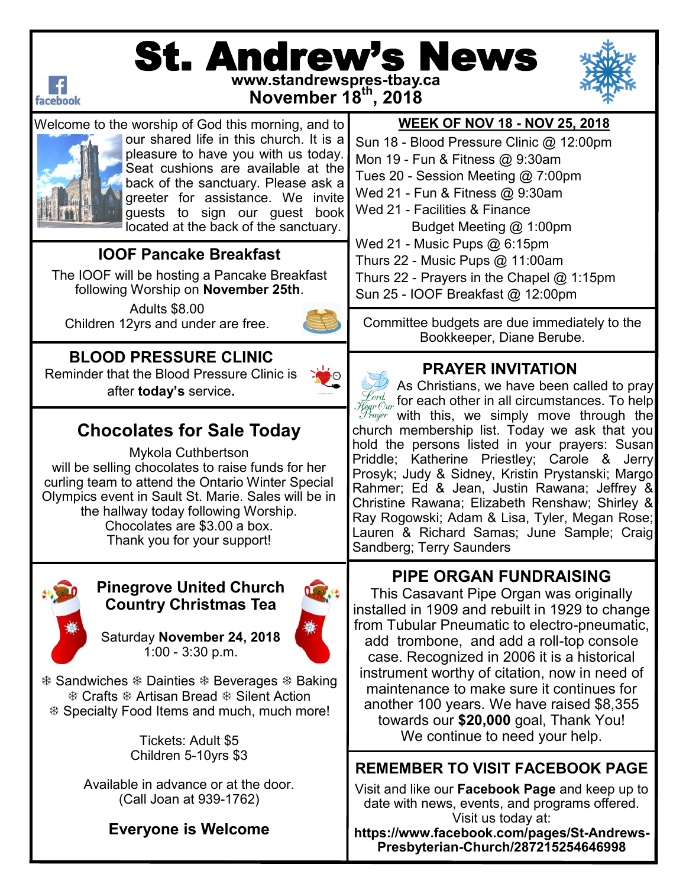

# St. Andrew's News **www.standrewspres-tbay.ca**



**November 18th, 2018**



Welcome to the worship of God this morning, and to our shared life in this church. It is a pleasure to have you with us today. Seat cushions are available at the back of the sanctuary. Please ask a greeter for assistance. We invite guests to sign our guest book located at the back of the sanctuary.

### **IOOF Pancake Breakfast**

The IOOF will be hosting a Pancake Breakfast following Worship on **November 25th**.

Adults \$8.00 Children 12yrs and under are free.



**BLOOD PRESSURE CLINIC** Reminder that the Blood Pressure Clinic is after **today's** service**.** 



# **Chocolates for Sale Today**

Mykola Cuthbertson will be selling chocolates to raise funds for her curling team to attend the Ontario Winter Special Olympics event in Sault St. Marie. Sales will be in the hallway today following Worship. Chocolates are \$3.00 a box. Thank you for your support!



#### **Pinegrove United Church Country Christmas Tea**

Saturday **November 24, 2018** 1:00 - 3:30 p.m.



**\* Sandwiches \* Dainties \* Beverages \* Baking**  Crafts Artisan Bread Silent Action Specialty Food Items and much, much more!

> Tickets: Adult \$5 Children 5-10yrs \$3

Available in advance or at the door. (Call Joan at 939-1762)

### **Everyone is Welcome**

#### **WEEK OF NOV 18 - NOV 25, 2018**

Sun 18 - Blood Pressure Clinic @ 12:00pm Mon 19 - Fun & Fitness @ 9:30am Tues 20 - Session Meeting @ 7:00pm Wed 21 - Fun & Fitness @ 9:30am Wed 21 - Facilities & Finance Budget Meeting @ 1:00pm Wed 21 - Music Pups @ 6:15pm Thurs 22 - Music Pups @ 11:00am

Thurs 22 - Prayers in the Chapel @ 1:15pm

Sun 25 - IOOF Breakfast @ 12:00pm

Committee budgets are due immediately to the Bookkeeper, Diane Berube.

### **PRAYER INVITATION**

As Christians, we have been called to pray  $\frac{\mathscr{L}ord}{\mathscr{E}ord}$  for each other in all circumstances. To help  $\mathscr{F}_{\textit{fegr} \textit{Our}}$  with this, we simply move through the church membership list. Today we ask that you hold the persons listed in your prayers: Susan Priddle; Katherine Priestley; Carole & Jerry Prosyk; Judy & Sidney, Kristin Prystanski; Margo Rahmer; Ed & Jean, Justin Rawana; Jeffrey & Christine Rawana; Elizabeth Renshaw; Shirley & Ray Rogowski; Adam & Lisa, Tyler, Megan Rose; Lauren & Richard Samas; June Sample; Craig Sandberg; Terry Saunders

## **PIPE ORGAN FUNDRAISING**

This Casavant Pipe Organ was originally installed in 1909 and rebuilt in 1929 to change from Tubular Pneumatic to electro-pneumatic, add trombone, and add a roll-top console case. Recognized in 2006 it is a historical instrument worthy of citation, now in need of maintenance to make sure it continues for another 100 years. We have raised \$8,355 towards our **\$20,000** goal, Thank You! We continue to need your help.

### **REMEMBER TO VISIT FACEBOOK PAGE**

Visit and like our **Facebook Page** and keep up to date with news, events, and programs offered. Visit us today at:

**https://www.facebook.com/pages/St-Andrews-Presbyterian-Church/287215254646998**